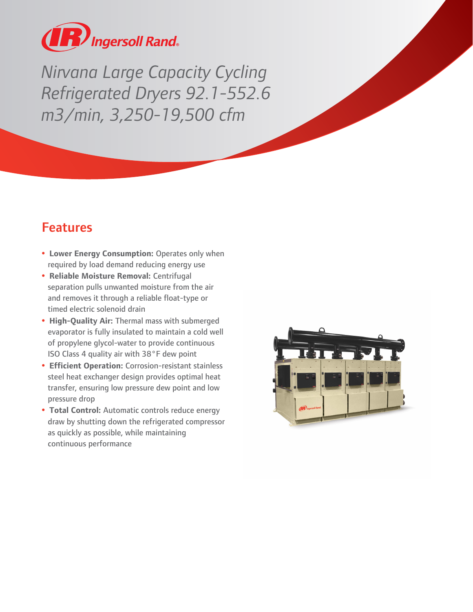

*Nirvana Large Capacity Cycling Refrigerated Dryers 92.1-552.6 m3/min, 3,250-19,500 cfm*

## Features

- **Lower Energy Consumption:** Operates only when required by load demand reducing energy use
- **Reliable Moisture Removal:** Centrifugal separation pulls unwanted moisture from the air and removes it through a reliable float-type or timed electric solenoid drain
- **High-Quality Air:** Thermal mass with submerged evaporator is fully insulated to maintain a cold well of propylene glycol-water to provide continuous ISO Class 4 quality air with 38°F dew point
- **Efficient Operation:** Corrosion-resistant stainless steel heat exchanger design provides optimal heat transfer, ensuring low pressure dew point and low pressure drop
- **Total Control:** Automatic controls reduce energy draw by shutting down the refrigerated compressor as quickly as possible, while maintaining continuous performance